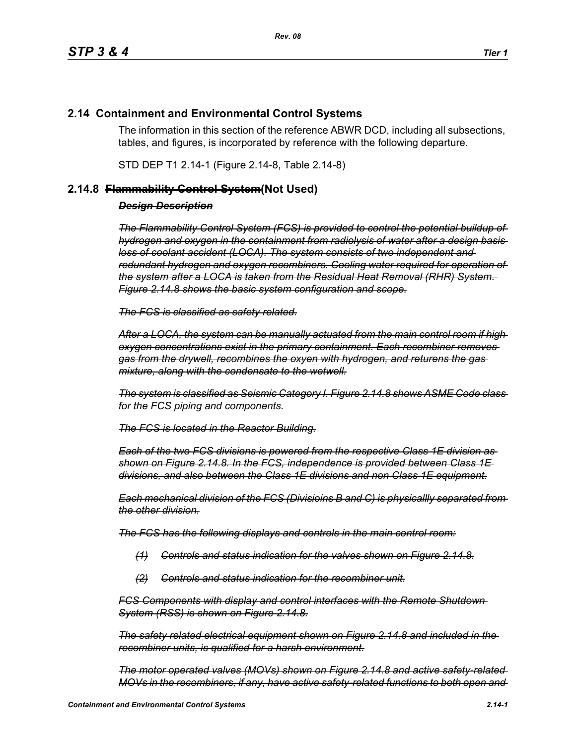# **2.14 Containment and Environmental Control Systems**

The information in this section of the reference ABWR DCD, including all subsections, tables, and figures, is incorporated by reference with the following departure.

STD DEP T1 2.14-1 (Figure 2.14-8, Table 2.14-8)

## **2.14.8 Flammability Control System(Not Used)**

## *Design Description*

*The Flammability Control System (FCS) is provided to control the potential buildup of hydrogen and oxygen in the containment from radiolysis of water after a design basis loss of coolant accident (LOCA). The system consists of two independent and redundant hydrogen and oxygen recombiners. Cooling water required for operation of the system after a LOCA is taken from the Residual Heat Removal (RHR) System. Figure 2.14.8 shows the basic system configuration and scope.*

*The FCS is classified as safety related.*

*After a LOCA, the system can be manually actuated from the main control room if high oxygen concentrations exist in the primary containment. Each recombiner removes gas from the drywell, recombines the oxyen with hydrogen, and returens the gas mixture, along with the condensate to the wetwell.*

*The system is classified as Seismic Category I. Figure 2.14.8 shows ASME Code class for the FCS piping and components.*

*The FCS is located in the Reactor Building.*

*Each of the two FCS divisions is powered from the respective Class 1E division as shown on Figure 2.14.8. In the FCS, independence is provided between Class 1E divisions, and also between the Class 1E divisions and non Class 1E equipment.*

*Each mechanical division of the FCS (Divisioins B and C) is physicallly separated from the other division.*

*The FCS has the following displays and controls in the main control room:*

- *(1) Controls and status indication for the valves shown on Figure 2.14.8.*
- *(2) Controls and status indication for the recombiner unit.*

*FCS Components with display and control interfaces with the Remote Shutdown System (RSS) is shown on Figure 2.14.8.*

*The safety related electrical equipment shown on Figure 2.14.8 and included in the recombiner units, is qualified for a harsh environment.*

*The motor operated valves (MOVs) shown on Figure 2.14.8 and active safety-related MOVs in the recombiners, if any, have active safety-related functions to both open and*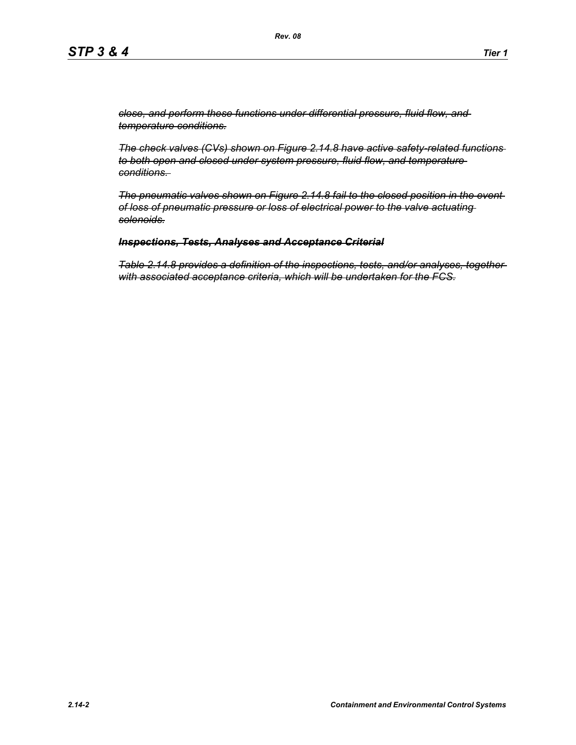*close, and perform these functions under differential pressure, fluid flow, and temperature conditions.*

*The check valves (CVs) shown on Figure 2.14.8 have active safety-related functions to both open and closed under system pressure, fluid flow, and temperature conditions.* 

*The pneumatic valves shown on Figure 2.14.8 fail to the closed position in the event of loss of pneumatic pressure or loss of electrical power to the valve actuating solenoids.*

### *Inspections, Tests, Analyses and Acceptance Criterial*

*Table 2.14.8 provides a definition of the inspections, tests, and/or analyses, together with associated acceptance criteria, which will be undertaken for the FCS.*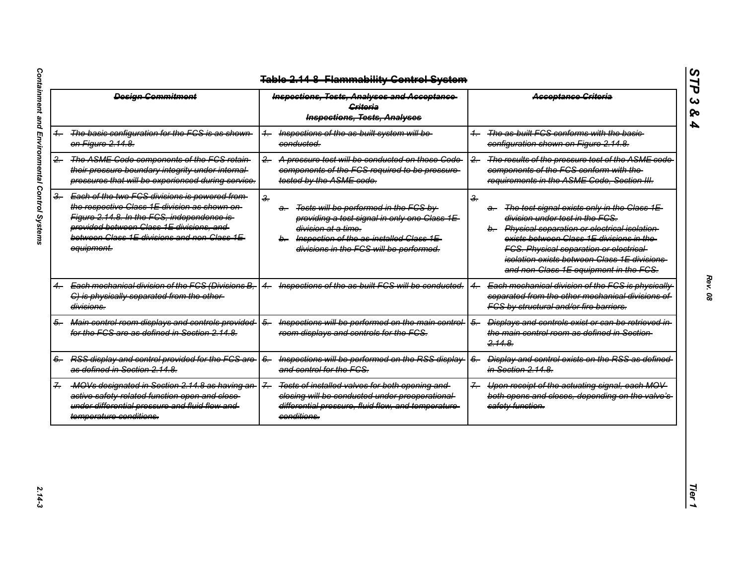| <b>Design Commitment</b> |                                                                                                                                                                                                                                                        | <b>Inspections, Tests, Analyses and Acceptance</b><br><b>Criteria</b><br><b>Inspections, Tests, Analyses</b>                                                                                                                                   | <b>Acceptance Criteria</b>                                                                                                                                                                                                                                                                                                                          |  |
|--------------------------|--------------------------------------------------------------------------------------------------------------------------------------------------------------------------------------------------------------------------------------------------------|------------------------------------------------------------------------------------------------------------------------------------------------------------------------------------------------------------------------------------------------|-----------------------------------------------------------------------------------------------------------------------------------------------------------------------------------------------------------------------------------------------------------------------------------------------------------------------------------------------------|--|
|                          | The basic configuration for the FCS is as shown<br>on Figure 2.14.8.                                                                                                                                                                                   | Inspections of the as built system will be-<br>$+$<br>conducted.                                                                                                                                                                               | The as built FCS conforms with the basic-<br>configuration shown on Figure 2.14.8.                                                                                                                                                                                                                                                                  |  |
| 2.                       | The ASME Code components of the FCS retain-<br>their pressure boundary integrity under internal-<br>pressures that will be experienced during service.                                                                                                 | A pressure test will be conducted on those Code-<br>$-2$<br>components of the FCS required to be pressure-<br>tested by the ASME code.                                                                                                         | The results of the pressure test of the ASME code<br>$\overline{2}$<br>components of the FCS conform with the-<br>requirements in the ASME Code, Section III.                                                                                                                                                                                       |  |
| $\frac{3}{2}$            | Each of the two FCS divisions is powered from<br>the respective Class 1E division as shown on-<br>Figure 2.14.8. In the FCS, independence is-<br>provided between Class 1E divisions, and<br>between Class 1E divisions and non Class 1E<br>equipment. | $\frac{2}{\pi}$<br>Tests will be performed in the FCS by<br>a—<br>providing a test signal in only one Class 1E-<br><del>division at a time.</del><br>Inspection of the as-installed Class 1E-<br>b-<br>divisions in the FCS will be performed. | $\frac{2}{\pi}$<br>The test signal exists only in the Class 1E-<br>a.<br>division under test in the FCS.<br>b. Physical separation or electrical isolation<br>exists between Class 1E divisions in the-<br><b>FCS. Physical separation or electrical-</b><br>isolation exists between Class 1E divisions-<br>and non-Class 1E equipment in the FCS. |  |
|                          | Each mechanical division of the FCS (Divisions B,<br>C) is physically separated from the other-<br>divisions.                                                                                                                                          | Inspections of the as built FCS will be conducted.                                                                                                                                                                                             | Each mechanical division of the FCS is physically<br>separated from the other mechanical divisions of<br>FCS by structural and/or fire barriers.                                                                                                                                                                                                    |  |
| 5-                       | Main control room displays and controls provided<br>for the FCS are as defined in Section 2.14.8.                                                                                                                                                      | Inspections will be performed on the main control-<br>$\overline{6}$<br>room displays and controls for the FCS.                                                                                                                                | Displays and controls exist or can be retrieved in<br>$6-$<br>the main control room as defined in Section-<br>2.14.8                                                                                                                                                                                                                                |  |
|                          | RSS display and control provided for the FCS are<br>as defined in Section 2.14.8.                                                                                                                                                                      | Inspections will be performed on the RSS display-<br>$6-$<br>and control for the FCS.                                                                                                                                                          | <b>Display and control exists on the RSS as defined-</b><br>$6-$<br>in Section 2.14.8.                                                                                                                                                                                                                                                              |  |
|                          | MOVs designated in Section 2.14.8 as having an-<br>active safety related function open and close-<br>under differential pressure and fluid flow and<br>temperature conditions.                                                                         | $\overline{z}$<br>Tests of installed valves for both opening and<br>closing will be conducted under preoperational-<br>differential pressure, fluid flow, and temperature-<br>conditions.                                                      | Upon receipt of the actuating signal, each MOV<br>$\overline{f}$<br>both opens and closes, depending on the valve's-<br>safety function.                                                                                                                                                                                                            |  |

*STP 3 & 4*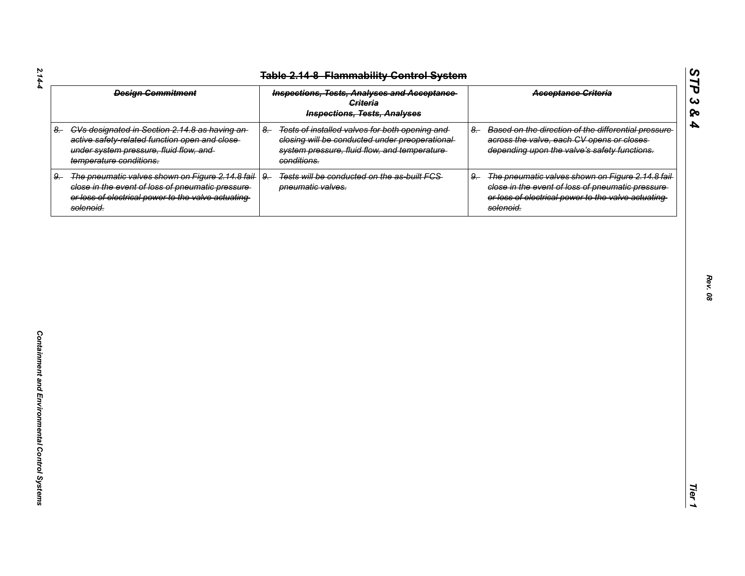| $2.14 - 4$<br><b>Table 2.14-8 Flammability Control System</b> |                                                                                                                                                                           |                                                                                                                                                                         |                                                                                                                                                                                 |
|---------------------------------------------------------------|---------------------------------------------------------------------------------------------------------------------------------------------------------------------------|-------------------------------------------------------------------------------------------------------------------------------------------------------------------------|---------------------------------------------------------------------------------------------------------------------------------------------------------------------------------|
|                                                               | <b>Design Commitment</b>                                                                                                                                                  | <b>Inspections, Tests, Analyses and Acceptance</b><br><b>Criteria</b><br><b>Inspections, Tests, Analyses</b>                                                            | <b>Acceptance Criteria</b>                                                                                                                                                      |
| $8-$                                                          | CVs designated in Section 2.14.8 as having an-<br>active safety-related function open and close-<br>under system pressure, fluid flow, and<br>temperature conditions.     | Tests of installed valves for both opening and<br>$8-$<br>closing will be conducted under preoperational<br>system pressure, fluid flow, and temperature<br>conditions. | Based on the direction of the differential pressure<br>$8-$<br>across the valve, each CV opens or closes<br>depending upon the valve's safety functions.                        |
| $9-$                                                          | The pneumatic valves shown on Figure 2.14.8 fail-<br>close in the event of loss of pneumatic pressure-<br>or loss of electrical power to the valve actuating<br>solenoid. | Tests will be conducted on the as-built FCS-<br>$9-$<br>pneumatic valves.                                                                                               | The pneumatic valves shown on Figure 2.14.8 fail<br>$9-$<br>close in the event of loss of pneumatic pressure<br>or loss of electrical power to the valve actuating<br>solenoid. |
|                                                               |                                                                                                                                                                           |                                                                                                                                                                         |                                                                                                                                                                                 |
|                                                               |                                                                                                                                                                           |                                                                                                                                                                         |                                                                                                                                                                                 |
|                                                               |                                                                                                                                                                           |                                                                                                                                                                         |                                                                                                                                                                                 |
|                                                               |                                                                                                                                                                           |                                                                                                                                                                         |                                                                                                                                                                                 |
|                                                               |                                                                                                                                                                           |                                                                                                                                                                         |                                                                                                                                                                                 |
|                                                               |                                                                                                                                                                           |                                                                                                                                                                         |                                                                                                                                                                                 |
|                                                               |                                                                                                                                                                           |                                                                                                                                                                         |                                                                                                                                                                                 |
|                                                               |                                                                                                                                                                           |                                                                                                                                                                         |                                                                                                                                                                                 |

*Rev. 08*

*STP 3 & 4*